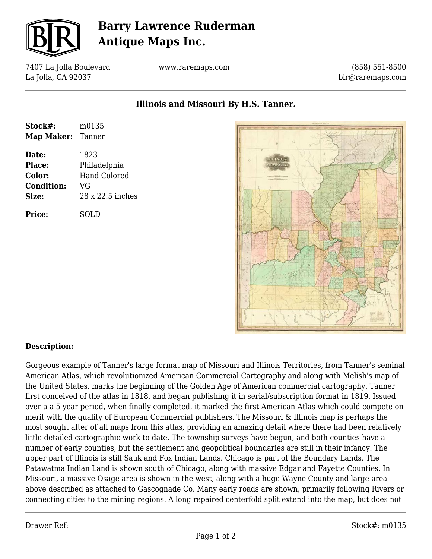

## **Barry Lawrence Ruderman Antique Maps Inc.**

7407 La Jolla Boulevard La Jolla, CA 92037

www.raremaps.com

(858) 551-8500 blr@raremaps.com

**Illinois and Missouri By H.S. Tanner.**

| Stock#:           | m0135               |
|-------------------|---------------------|
| Map Maker: Tanner |                     |
| Date:             | 1823                |
| Place:            | Philadelphia        |
| <b>Color:</b>     | <b>Hand Colored</b> |
| <b>Condition:</b> | VG                  |
| Size:             | 28 x 22.5 inches    |
| <b>Price:</b>     | SOLD                |



## **Description:**

Gorgeous example of Tanner's large format map of Missouri and Illinois Territories, from Tanner's seminal American Atlas, which revolutionized American Commercial Cartography and along with Melish's map of the United States, marks the beginning of the Golden Age of American commercial cartography. Tanner first conceived of the atlas in 1818, and began publishing it in serial/subscription format in 1819. Issued over a a 5 year period, when finally completed, it marked the first American Atlas which could compete on merit with the quality of European Commercial publishers. The Missouri & Illinois map is perhaps the most sought after of all maps from this atlas, providing an amazing detail where there had been relatively little detailed cartographic work to date. The township surveys have begun, and both counties have a number of early counties, but the settlement and geopolitical boundaries are still in their infancy. The upper part of Illinois is still Sauk and Fox Indian Lands. Chicago is part of the Boundary Lands. The Patawatma Indian Land is shown south of Chicago, along with massive Edgar and Fayette Counties. In Missouri, a massive Osage area is shown in the west, along with a huge Wayne County and large area above described as attached to Gascognade Co. Many early roads are shown, primarily following Rivers or connecting cities to the mining regions. A long repaired centerfold split extend into the map, but does not